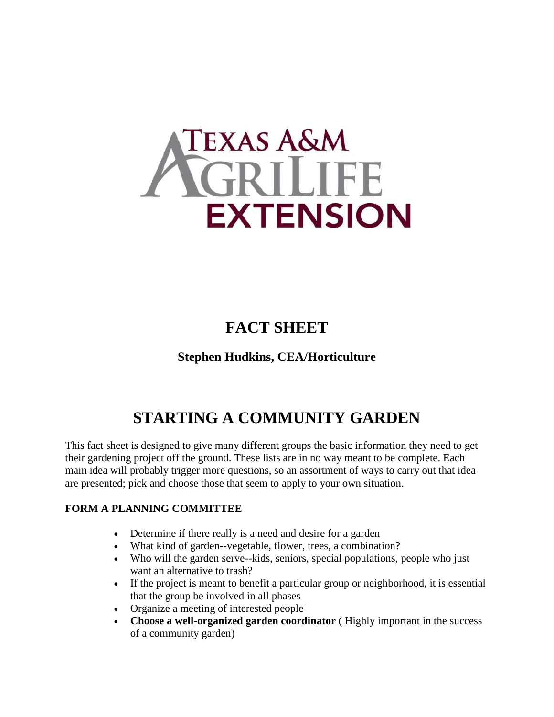

## **FACT SHEET**

## **Stephen Hudkins, CEA/Horticulture**

# **STARTING A COMMUNITY GARDEN**

This fact sheet is designed to give many different groups the basic information they need to get their gardening project off the ground. These lists are in no way meant to be complete. Each main idea will probably trigger more questions, so an assortment of ways to carry out that idea are presented; pick and choose those that seem to apply to your own situation.

#### **FORM A PLANNING COMMITTEE**

- Determine if there really is a need and desire for a garden
- What kind of garden--vegetable, flower, trees, a combination?
- Who will the garden serve--kids, seniors, special populations, people who just want an alternative to trash?
- If the project is meant to benefit a particular group or neighborhood, it is essential that the group be involved in all phases
- Organize a meeting of interested people
- **Choose a well-organized garden coordinator** ( Highly important in the success of a community garden)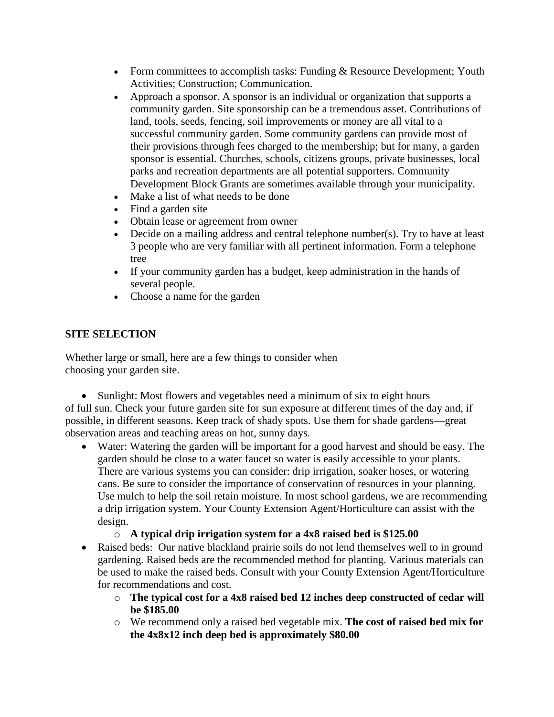- Form committees to accomplish tasks: Funding & Resource Development; Youth Activities; Construction; Communication.
- Approach a sponsor. A sponsor is an individual or organization that supports a community garden. Site sponsorship can be a tremendous asset. Contributions of land, tools, seeds, fencing, soil improvements or money are all vital to a successful community garden. Some community gardens can provide most of their provisions through fees charged to the membership; but for many, a garden sponsor is essential. Churches, schools, citizens groups, private businesses, local parks and recreation departments are all potential supporters. Community Development Block Grants are sometimes available through your municipality.
- Make a list of what needs to be done
- Find a garden site
- Obtain lease or agreement from owner
- Decide on a mailing address and central telephone number(s). Try to have at least 3 people who are very familiar with all pertinent information. Form a telephone tree
- If your community garden has a budget, keep administration in the hands of several people.
- Choose a name for the garden

#### **SITE SELECTION**

Whether large or small, here are a few things to consider when choosing your garden site.

• Sunlight: Most flowers and vegetables need a minimum of six to eight hours of full sun. Check your future garden site for sun exposure at different times of the day and, if possible, in different seasons. Keep track of shady spots. Use them for shade gardens—great observation areas and teaching areas on hot, sunny days.

 Water: Watering the garden will be important for a good harvest and should be easy. The garden should be close to a water faucet so water is easily accessible to your plants. There are various systems you can consider: drip irrigation, soaker hoses, or watering cans. Be sure to consider the importance of conservation of resources in your planning. Use mulch to help the soil retain moisture. In most school gardens, we are recommending a drip irrigation system. Your County Extension Agent/Horticulture can assist with the design.

#### o **A typical drip irrigation system for a 4x8 raised bed is \$125.00**

- Raised beds: Our native blackland prairie soils do not lend themselves well to in ground gardening. Raised beds are the recommended method for planting. Various materials can be used to make the raised beds. Consult with your County Extension Agent/Horticulture for recommendations and cost.
	- o **The typical cost for a 4x8 raised bed 12 inches deep constructed of cedar will be \$185.00**
	- o We recommend only a raised bed vegetable mix. **The cost of raised bed mix for the 4x8x12 inch deep bed is approximately \$80.00**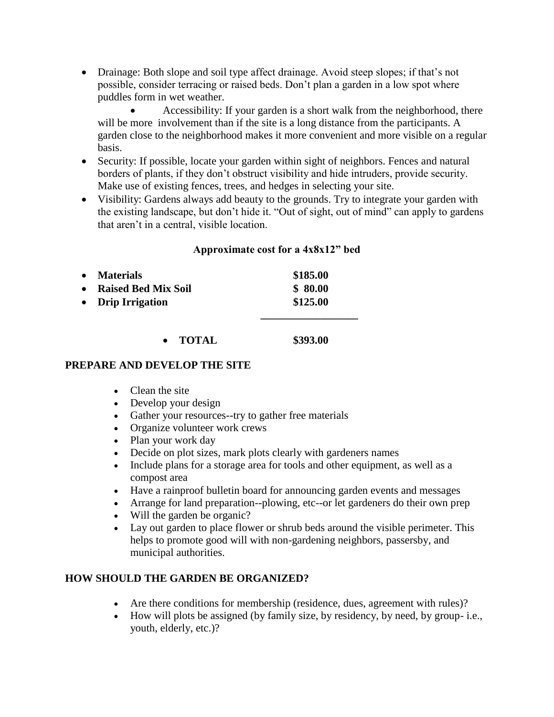• Drainage: Both slope and soil type affect drainage. Avoid steep slopes; if that's not possible, consider terracing or raised beds. Don't plan a garden in a low spot where puddles form in wet weather.

 Accessibility: If your garden is a short walk from the neighborhood, there will be more involvement than if the site is a long distance from the participants. A garden close to the neighborhood makes it more convenient and more visible on a regular basis.

- Security: If possible, locate your garden within sight of neighbors. Fences and natural borders of plants, if they don't obstruct visibility and hide intruders, provide security. Make use of existing fences, trees, and hedges in selecting your site.
- Visibility: Gardens always add beauty to the grounds. Try to integrate your garden with the existing landscape, but don't hide it. "Out of sight, out of mind" can apply to gardens that aren't in a central, visible location.

#### **Approximate cost for a 4x8x12" bed**

| $\bullet$ | <b>Materials</b>           | \$185.00 |
|-----------|----------------------------|----------|
| $\bullet$ | <b>Raised Bed Mix Soil</b> | \$80.00  |
|           | • Drip Irrigation          | \$125.00 |
|           |                            |          |
|           | TOTAL                      | \$393.00 |

#### **PREPARE AND DEVELOP THE SITE**

- Clean the site
- Develop your design
- Gather your resources--try to gather free materials
- Organize volunteer work crews
- Plan your work day
- Decide on plot sizes, mark plots clearly with gardeners names
- Include plans for a storage area for tools and other equipment, as well as a compost area
- Have a rainproof bulletin board for announcing garden events and messages
- Arrange for land preparation--plowing, etc--or let gardeners do their own prep
- Will the garden be organic?
- Lay out garden to place flower or shrub beds around the visible perimeter. This helps to promote good will with non-gardening neighbors, passersby, and municipal authorities.

#### **HOW SHOULD THE GARDEN BE ORGANIZED?**

- Are there conditions for membership (residence, dues, agreement with rules)?
- How will plots be assigned (by family size, by residency, by need, by group- i.e., youth, elderly, etc.)?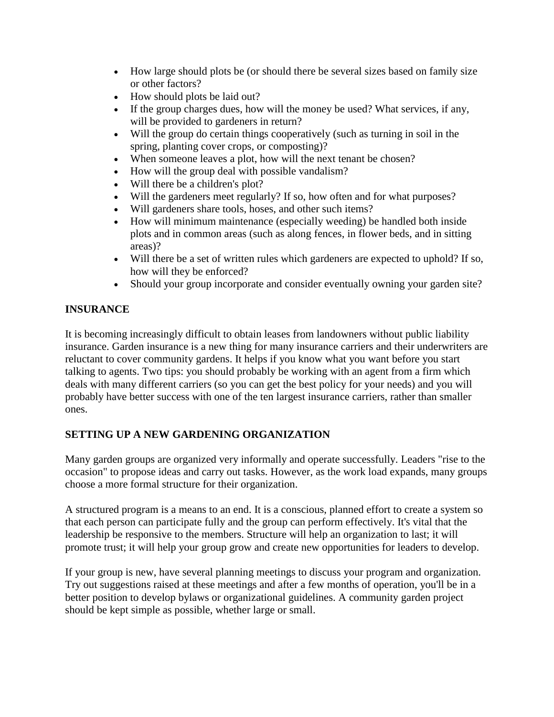- How large should plots be (or should there be several sizes based on family size or other factors?
- How should plots be laid out?
- If the group charges dues, how will the money be used? What services, if any, will be provided to gardeners in return?
- Will the group do certain things cooperatively (such as turning in soil in the spring, planting cover crops, or composting)?
- When someone leaves a plot, how will the next tenant be chosen?
- How will the group deal with possible vandalism?
- Will there be a children's plot?
- Will the gardeners meet regularly? If so, how often and for what purposes?
- Will gardeners share tools, hoses, and other such items?
- How will minimum maintenance (especially weeding) be handled both inside plots and in common areas (such as along fences, in flower beds, and in sitting areas)?
- Will there be a set of written rules which gardeners are expected to uphold? If so, how will they be enforced?
- Should your group incorporate and consider eventually owning your garden site?

## **INSURANCE**

It is becoming increasingly difficult to obtain leases from landowners without public liability insurance. Garden insurance is a new thing for many insurance carriers and their underwriters are reluctant to cover community gardens. It helps if you know what you want before you start talking to agents. Two tips: you should probably be working with an agent from a firm which deals with many different carriers (so you can get the best policy for your needs) and you will probably have better success with one of the ten largest insurance carriers, rather than smaller ones.

## **SETTING UP A NEW GARDENING ORGANIZATION**

Many garden groups are organized very informally and operate successfully. Leaders "rise to the occasion" to propose ideas and carry out tasks. However, as the work load expands, many groups choose a more formal structure for their organization.

A structured program is a means to an end. It is a conscious, planned effort to create a system so that each person can participate fully and the group can perform effectively. It's vital that the leadership be responsive to the members. Structure will help an organization to last; it will promote trust; it will help your group grow and create new opportunities for leaders to develop.

If your group is new, have several planning meetings to discuss your program and organization. Try out suggestions raised at these meetings and after a few months of operation, you'll be in a better position to develop bylaws or organizational guidelines. A community garden project should be kept simple as possible, whether large or small.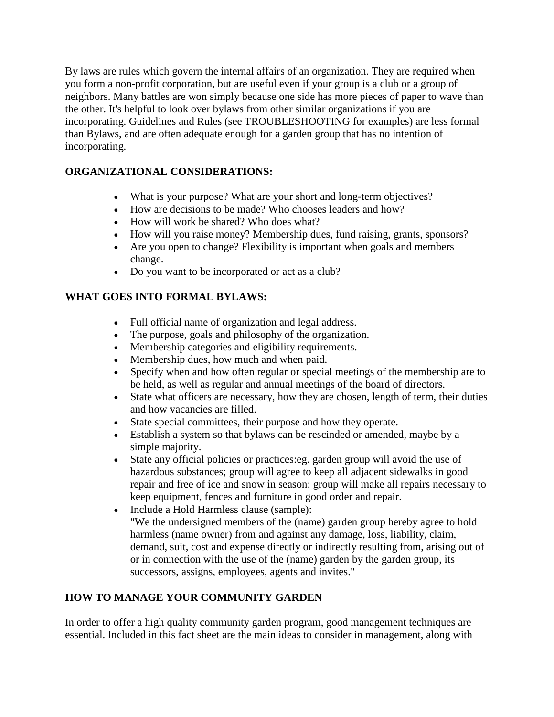By laws are rules which govern the internal affairs of an organization. They are required when you form a non-profit corporation, but are useful even if your group is a club or a group of neighbors. Many battles are won simply because one side has more pieces of paper to wave than the other. It's helpful to look over bylaws from other similar organizations if you are incorporating. Guidelines and Rules (see TROUBLESHOOTING for examples) are less formal than Bylaws, and are often adequate enough for a garden group that has no intention of incorporating.

## **ORGANIZATIONAL CONSIDERATIONS:**

- What is your purpose? What are your short and long-term objectives?
- How are decisions to be made? Who chooses leaders and how?
- How will work be shared? Who does what?
- How will you raise money? Membership dues, fund raising, grants, sponsors?
- Are you open to change? Flexibility is important when goals and members change.
- Do you want to be incorporated or act as a club?

#### **WHAT GOES INTO FORMAL BYLAWS:**

- Full official name of organization and legal address.
- The purpose, goals and philosophy of the organization.
- Membership categories and eligibility requirements.
- Membership dues, how much and when paid.
- Specify when and how often regular or special meetings of the membership are to be held, as well as regular and annual meetings of the board of directors.
- State what officers are necessary, how they are chosen, length of term, their duties and how vacancies are filled.
- State special committees, their purpose and how they operate.
- Establish a system so that bylaws can be rescinded or amended, maybe by a simple majority.
- State any official policies or practices:eg. garden group will avoid the use of hazardous substances; group will agree to keep all adjacent sidewalks in good repair and free of ice and snow in season; group will make all repairs necessary to keep equipment, fences and furniture in good order and repair.
- Include a Hold Harmless clause (sample): "We the undersigned members of the (name) garden group hereby agree to hold harmless (name owner) from and against any damage, loss, liability, claim, demand, suit, cost and expense directly or indirectly resulting from, arising out of or in connection with the use of the (name) garden by the garden group, its successors, assigns, employees, agents and invites."

## **HOW TO MANAGE YOUR COMMUNITY GARDEN**

In order to offer a high quality community garden program, good management techniques are essential. Included in this fact sheet are the main ideas to consider in management, along with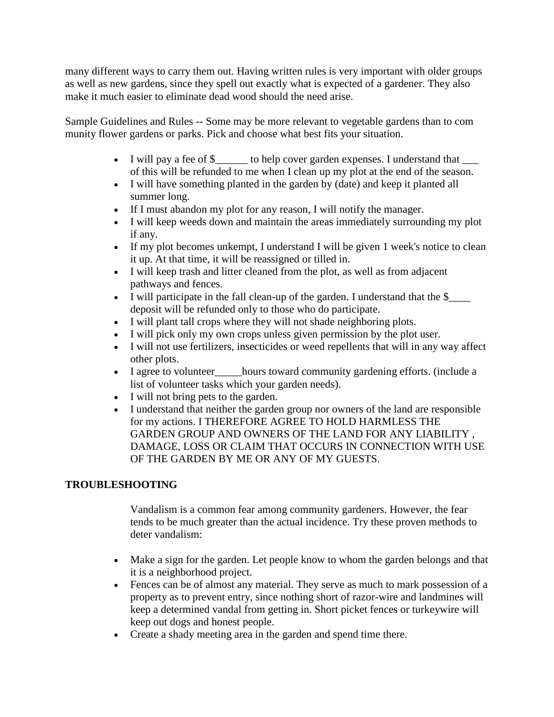many different ways to carry them out. Having written rules is very important with older groups as well as new gardens, since they spell out exactly what is expected of a gardener. They also make it much easier to eliminate dead wood should the need arise.

Sample Guidelines and Rules -- Some may be more relevant to vegetable gardens than to com munity flower gardens or parks. Pick and choose what best fits your situation.

- I will pay a fee of \$\_\_\_\_\_\_ to help cover garden expenses. I understand that \_\_\_ of this will be refunded to me when I clean up my plot at the end of the season.
- I will have something planted in the garden by (date) and keep it planted all summer long.
- If I must abandon my plot for any reason, I will notify the manager.
- I will keep weeds down and maintain the areas immediately surrounding my plot if any.
- If my plot becomes unkempt, I understand I will be given 1 week's notice to clean it up. At that time, it will be reassigned or tilled in.
- I will keep trash and litter cleaned from the plot, as well as from adjacent pathways and fences.
- I will participate in the fall clean-up of the garden. I understand that the \$ deposit will be refunded only to those who do participate.
- I will plant tall crops where they will not shade neighboring plots.
- I will pick only my own crops unless given permission by the plot user.
- I will not use fertilizers, insecticides or weed repellents that will in any way affect other plots.
- I agree to volunteer\_\_\_\_\_hours toward community gardening efforts. (include a list of volunteer tasks which your garden needs).
- I will not bring pets to the garden.
- I understand that neither the garden group nor owners of the land are responsible for my actions. I THEREFORE AGREE TO HOLD HARMLESS THE GARDEN GROUP AND OWNERS OF THE LAND FOR ANY LIABILITY , DAMAGE, LOSS OR CLAIM THAT OCCURS IN CONNECTION WITH USE OF THE GARDEN BY ME OR ANY OF MY GUESTS.

## **TROUBLESHOOTING**

Vandalism is a common fear among community gardeners. However, the fear tends to be much greater than the actual incidence. Try these proven methods to deter vandalism:

- Make a sign for the garden. Let people know to whom the garden belongs and that it is a neighborhood project.
- Fences can be of almost any material. They serve as much to mark possession of a property as to prevent entry, since nothing short of razor-wire and landmines will keep a determined vandal from getting in. Short picket fences or turkeywire will keep out dogs and honest people.
- Create a shady meeting area in the garden and spend time there.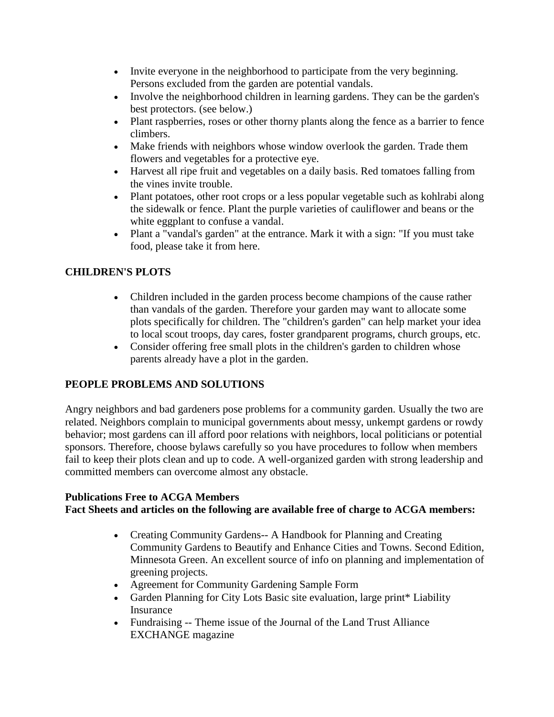- Invite everyone in the neighborhood to participate from the very beginning. Persons excluded from the garden are potential vandals.
- Involve the neighborhood children in learning gardens. They can be the garden's best protectors. (see below.)
- Plant raspberries, roses or other thorny plants along the fence as a barrier to fence climbers.
- Make friends with neighbors whose window overlook the garden. Trade them flowers and vegetables for a protective eye.
- Harvest all ripe fruit and vegetables on a daily basis. Red tomatoes falling from the vines invite trouble.
- Plant potatoes, other root crops or a less popular vegetable such as kohlrabi along the sidewalk or fence. Plant the purple varieties of cauliflower and beans or the white eggplant to confuse a vandal.
- Plant a "vandal's garden" at the entrance. Mark it with a sign: "If you must take food, please take it from here.

## **CHILDREN'S PLOTS**

- Children included in the garden process become champions of the cause rather than vandals of the garden. Therefore your garden may want to allocate some plots specifically for children. The "children's garden" can help market your idea to local scout troops, day cares, foster grandparent programs, church groups, etc.
- Consider offering free small plots in the children's garden to children whose parents already have a plot in the garden.

## **PEOPLE PROBLEMS AND SOLUTIONS**

Angry neighbors and bad gardeners pose problems for a community garden. Usually the two are related. Neighbors complain to municipal governments about messy, unkempt gardens or rowdy behavior; most gardens can ill afford poor relations with neighbors, local politicians or potential sponsors. Therefore, choose bylaws carefully so you have procedures to follow when members fail to keep their plots clean and up to code. A well-organized garden with strong leadership and committed members can overcome almost any obstacle.

## **Publications Free to ACGA Members**

## **Fact Sheets and articles on the following are available free of charge to ACGA members:**

- Creating Community Gardens-- A Handbook for Planning and Creating Community Gardens to Beautify and Enhance Cities and Towns. Second Edition, Minnesota Green. An excellent source of info on planning and implementation of greening projects.
- Agreement for Community Gardening Sample Form
- Garden Planning for City Lots Basic site evaluation, large print\* Liability Insurance
- Fundraising -- Theme issue of the Journal of the Land Trust Alliance EXCHANGE magazine